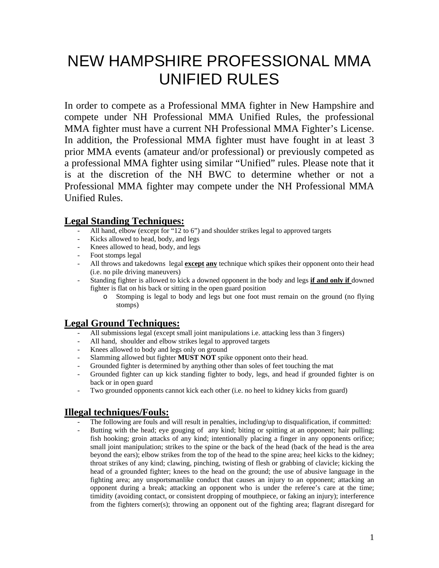# NEW HAMPSHIRE PROFESSIONAL MMA UNIFIED RULES

In order to compete as a Professional MMA fighter in New Hampshire and compete under NH Professional MMA Unified Rules, the professional MMA fighter must have a current NH Professional MMA Fighter's License. In addition, the Professional MMA fighter must have fought in at least 3 prior MMA events (amateur and/or professional) or previously competed as a professional MMA fighter using similar "Unified" rules. Please note that it is at the discretion of the NH BWC to determine whether or not a Professional MMA fighter may compete under the NH Professional MMA Unified Rules.

## **Legal Standing Techniques:**

- All hand, elbow (except for "12 to 6") and shoulder strikes legal to approved targets
- Kicks allowed to head, body, and legs
- Knees allowed to head, body, and legs
- Foot stomps legal
- All throws and takedowns legal **except any** technique which spikes their opponent onto their head (i.e. no pile driving maneuvers)
- Standing fighter is allowed to kick a downed opponent in the body and legs **if and only if** downed fighter is flat on his back or sitting in the open guard position
	- o Stomping is legal to body and legs but one foot must remain on the ground (no flying stomps)

### **Legal Ground Techniques:**

- All submissions legal (except small joint manipulations i.e. attacking less than 3 fingers)
- All hand, shoulder and elbow strikes legal to approved targets
- Knees allowed to body and legs only on ground
- Slamming allowed but fighter **MUST NOT** spike opponent onto their head.
- Grounded fighter is determined by anything other than soles of feet touching the mat
- Grounded fighter can up kick standing fighter to body, legs, and head if grounded fighter is on back or in open guard
- Two grounded opponents cannot kick each other (i.e. no heel to kidney kicks from guard)

### **Illegal techniques/Fouls:**

- The following are fouls and will result in penalties, including/up to disqualification, if committed:
- Butting with the head; eye gouging of any kind; biting or spitting at an opponent; hair pulling; fish hooking; groin attacks of any kind; intentionally placing a finger in any opponents orifice; small joint manipulation; strikes to the spine or the back of the head (back of the head is the area beyond the ears); elbow strikes from the top of the head to the spine area; heel kicks to the kidney; throat strikes of any kind; clawing, pinching, twisting of flesh or grabbing of clavicle; kicking the head of a grounded fighter; knees to the head on the ground; the use of abusive language in the fighting area; any unsportsmanlike conduct that causes an injury to an opponent; attacking an opponent during a break; attacking an opponent who is under the referee's care at the time; timidity (avoiding contact, or consistent dropping of mouthpiece, or faking an injury); interference from the fighters corner(s); throwing an opponent out of the fighting area; flagrant disregard for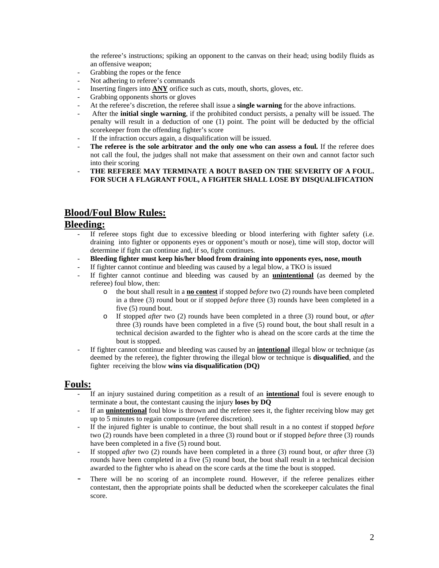the referee's instructions; spiking an opponent to the canvas on their head; using bodily fluids as an offensive weapon;

- Grabbing the ropes or the fence
- Not adhering to referee's commands
- Inserting fingers into **ANY** orifice such as cuts, mouth, shorts, gloves, etc.
- Grabbing opponents shorts or gloves
- At the referee's discretion, the referee shall issue a **single warning** for the above infractions.
- After the **initial single warning**, if the prohibited conduct persists, a penalty will be issued. The penalty will result in a deduction of one (1) point. The point will be deducted by the official scorekeeper from the offending fighter's score
- If the infraction occurs again, a disqualification will be issued.
- The referee is the sole arbitrator and the only one who can assess a foul. If the referee does not call the foul, the judges shall not make that assessment on their own and cannot factor such into their scoring
- **THE REFEREE MAY TERMINATE A BOUT BASED ON THE SEVERITY OF A FOUL. FOR SUCH A FLAGRANT FOUL, A FIGHTER SHALL LOSE BY DISQUALIFICATION**

### **Blood/Foul Blow Rules:**

#### **Bleeding:**

- If referee stops fight due to excessive bleeding or blood interfering with fighter safety (i.e. draining into fighter or opponents eyes or opponent's mouth or nose), time will stop, doctor will determine if fight can continue and, if so, fight continues.
- **Bleeding fighter must keep his/her blood from draining into opponents eyes, nose, mouth**
- If fighter cannot continue and bleeding was caused by a legal blow, a TKO is issued
- If fighter cannot continue and bleeding was caused by an **unintentional** (as deemed by the referee) foul blow, then:
	- o the bout shall result in a **no contest** if stopped *before* two (2) rounds have been completed in a three (3) round bout or if stopped *before* three (3) rounds have been completed in a five (5) round bout.
	- o If stopped *after* two (2) rounds have been completed in a three (3) round bout, or *after* three (3) rounds have been completed in a five (5) round bout, the bout shall result in a technical decision awarded to the fighter who is ahead on the score cards at the time the bout is stopped.
- If fighter cannot continue and bleeding was caused by an *intentional* illegal blow or technique (as deemed by the referee), the fighter throwing the illegal blow or technique is **disqualified**, and the fighter receiving the blow **wins via disqualification (DQ)**

#### **Fouls:**

- If an injury sustained during competition as a result of an **intentional** foul is severe enough to terminate a bout, the contestant causing the injury **loses by DQ**
- If an **unintentional** foul blow is thrown and the referee sees it, the fighter receiving blow may get up to 5 minutes to regain composure (referee discretion).
- If the injured fighter is unable to continue, the bout shall result in a no contest if stopped *before* two (2) rounds have been completed in a three (3) round bout or if stopped *before* three (3) rounds have been completed in a five (5) round bout.
- If stopped *after* two (2) rounds have been completed in a three (3) round bout, or *after* three (3) rounds have been completed in a five (5) round bout, the bout shall result in a technical decision awarded to the fighter who is ahead on the score cards at the time the bout is stopped.
- There will be no scoring of an incomplete round. However, if the referee penalizes either contestant, then the appropriate points shall be deducted when the scorekeeper calculates the final score.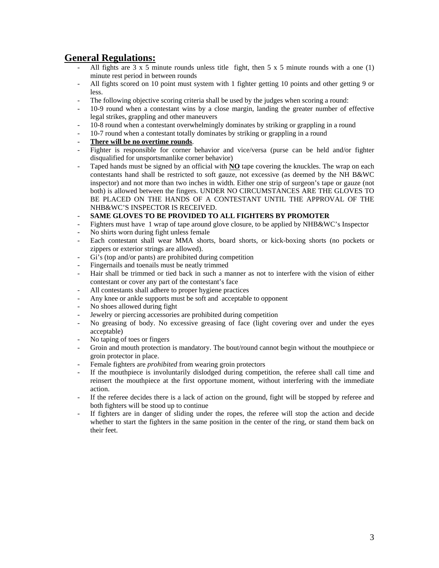### **General Regulations:**

- All fights are  $3 \times 5$  minute rounds unless title fight, then  $5 \times 5$  minute rounds with a one (1) minute rest period in between rounds
- All fights scored on 10 point must system with 1 fighter getting 10 points and other getting 9 or less.
- The following objective scoring criteria shall be used by the judges when scoring a round:
- 10-9 round when a contestant wins by a close margin, landing the greater number of effective legal strikes, grappling and other maneuvers
- 10-8 round when a contestant overwhelmingly dominates by striking or grappling in a round
- 10-7 round when a contestant totally dominates by striking or grappling in a round
- There will be no overtime rounds.
- Fighter is responsible for corner behavior and vice/versa (purse can be held and/or fighter disqualified for unsportsmanlike corner behavior)
- Taped hands must be signed by an official with **NO** tape covering the knuckles. The wrap on each contestants hand shall be restricted to soft gauze, not excessive (as deemed by the NH B&WC inspector) and not more than two inches in width. Either one strip of surgeon's tape or gauze (not both) is allowed between the fingers. UNDER NO CIRCUMSTANCES ARE THE GLOVES TO BE PLACED ON THE HANDS OF A CONTESTANT UNTIL THE APPROVAL OF THE NHB&WC'S INSPECTOR IS RECEIVED.
- **SAME GLOVES TO BE PROVIDED TO ALL FIGHTERS BY PROMOTER**
- Fighters must have 1 wrap of tape around glove closure, to be applied by NHB&WC's Inspector
- No shirts worn during fight unless female
- Each contestant shall wear MMA shorts, board shorts, or kick-boxing shorts (no pockets or zippers or exterior strings are allowed).
- Gi's (top and/or pants) are prohibited during competition
- Fingernails and toenails must be neatly trimmed
- Hair shall be trimmed or tied back in such a manner as not to interfere with the vision of either contestant or cover any part of the contestant's face
- All contestants shall adhere to proper hygiene practices
- Any knee or ankle supports must be soft and acceptable to opponent
- No shoes allowed during fight
- Jewelry or piercing accessories are prohibited during competition
- No greasing of body. No excessive greasing of face (light covering over and under the eyes acceptable)
- No taping of toes or fingers
- Groin and mouth protection is mandatory. The bout/round cannot begin without the mouthpiece or groin protector in place.
- Female fighters are *prohibited* from wearing groin protectors
- If the mouthpiece is involuntarily dislodged during competition, the referee shall call time and reinsert the mouthpiece at the first opportune moment, without interfering with the immediate action.
- If the referee decides there is a lack of action on the ground, fight will be stopped by referee and both fighters will be stood up to continue
- If fighters are in danger of sliding under the ropes, the referee will stop the action and decide whether to start the fighters in the same position in the center of the ring, or stand them back on their feet.